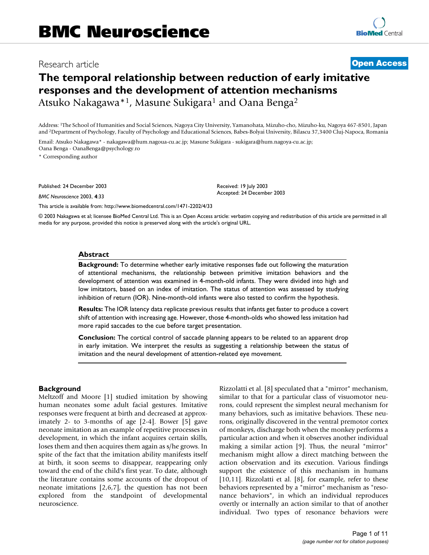## Research article **[Open Access](http://www.biomedcentral.com/info/about/charter/)**

## **The temporal relationship between reduction of early imitative responses and the development of attention mechanisms** Atsuko Nakagawa\*<sup>1</sup>, Masune Sukigara<sup>1</sup> and Oana Benga<sup>2</sup>

Address: 1The School of Humanities and Social Sciences, Nagoya City University, Yamanohata, Mizuho-cho, Mizuho-ku, Nagoya 467-8501, Japan and 2Department of Psychology, Faculty of Psychology and Educational Sciences, Babes-Bolyai University, Bilascu 37,3400 Cluj-Napoca, Romania

Email: Atsuko Nakagawa\* - nakagawa@hum.nagoua-cu.ac.jp; Masune Sukigara - sukigara@hum.nagoya-cu.ac.jp; Oana Benga - OanaBenga@psychology.ro

\* Corresponding author

Published: 24 December 2003

*BMC Neuroscience* 2003, **4**:33

[This article is available from: http://www.biomedcentral.com/1471-2202/4/33](http://www.biomedcentral.com/1471-2202/4/33)

© 2003 Nakagawa et al; licensee BioMed Central Ltd. This is an Open Access article: verbatim copying and redistribution of this article are permitted in all media for any purpose, provided this notice is preserved along with the article's original URL.

Received: 19 July 2003 Accepted: 24 December 2003

### **Abstract**

**Background:** To determine whether early imitative responses fade out following the maturation of attentional mechanisms, the relationship between primitive imitation behaviors and the development of attention was examined in 4-month-old infants. They were divided into high and low imitators, based on an index of imitation. The status of attention was assessed by studying inhibition of return (IOR). Nine-month-old infants were also tested to confirm the hypothesis.

**Results:** The IOR latency data replicate previous results that infants get faster to produce a covert shift of attention with increasing age. However, those 4-month-olds who showed less imitation had more rapid saccades to the cue before target presentation.

**Conclusion:** The cortical control of saccade planning appears to be related to an apparent drop in early imitation. We interpret the results as suggesting a relationship between the status of imitation and the neural development of attention-related eye movement.

### **Background**

Meltzoff and Moore [1] studied imitation by showing human neonates some adult facial gestures. Imitative responses were frequent at birth and decreased at approximately 2- to 3-months of age [2-4]. Bower [5] gave neonate imitation as an example of repetitive processes in development, in which the infant acquires certain skills, loses them and then acquires them again as s/he grows. In spite of the fact that the imitation ability manifests itself at birth, it soon seems to disappear, reappearing only toward the end of the child's first year. To date, although the literature contains some accounts of the dropout of neonate imitations [2,6,7], the question has not been explored from the standpoint of developmental neuroscience.

Rizzolatti et al. [8] speculated that a "mirror" mechanism, similar to that for a particular class of visuomotor neurons, could represent the simplest neural mechanism for many behaviors, such as imitative behaviors. These neurons, originally discovered in the ventral premotor cortex of monkeys, discharge both when the monkey performs a particular action and when it observes another individual making a similar action [9]. Thus, the neural "mirror" mechanism might allow a direct matching between the action observation and its execution. Various findings support the existence of this mechanism in humans [10,11]. Rizzolatti et al. [8], for example, refer to these behaviors represented by a "mirror" mechanism as "resonance behaviors", in which an individual reproduces overtly or internally an action similar to that of another individual. Two types of resonance behaviors were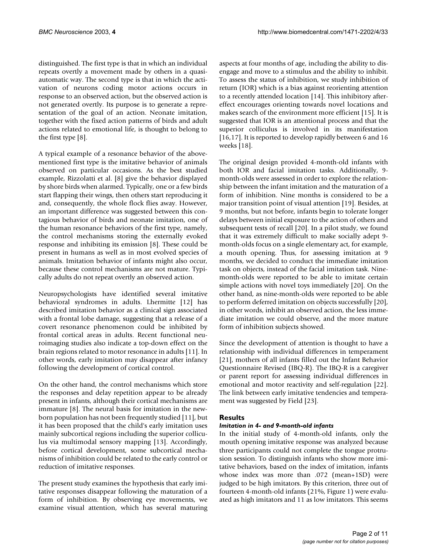distinguished. The first type is that in which an individual repeats overtly a movement made by others in a quasiautomatic way. The second type is that in which the activation of neurons coding motor actions occurs in response to an observed action, but the observed action is not generated overtly. Its purpose is to generate a representation of the goal of an action. Neonate imitation, together with the fixed action patterns of birds and adult actions related to emotional life, is thought to belong to the first type [8].

A typical example of a resonance behavior of the abovementioned first type is the imitative behavior of animals observed on particular occasions. As the best studied example, Rizzolatti et al. [8] give the behavior displayed by shore birds when alarmed. Typically, one or a few birds start flapping their wings, then others start reproducing it and, consequently, the whole flock flies away. However, an important difference was suggested between this contagious behavior of birds and neonate imitation, one of the human resonance behaviors of the first type, namely, the control mechanisms storing the externally evoked response and inhibiting its emission [8]. These could be present in humans as well as in most evolved species of animals. Imitation behavior of infants might also occur, because these control mechanisms are not mature. Typically adults do not repeat overtly an observed action.

Neuropsychologists have identified several imitative behavioral syndromes in adults. Lhermitte [12] has described imitation behavior as a clinical sign associated with a frontal lobe damage, suggesting that a release of a covert resonance phenomenon could be inhibited by frontal cortical areas in adults. Recent functional neuroimaging studies also indicate a top-down effect on the brain regions related to motor resonance in adults [11]. In other words, early imitation may disappear after infancy following the development of cortical control.

On the other hand, the control mechanisms which store the responses and delay repetition appear to be already present in infants, although their cortical mechanisms are immature [8]. The neural basis for imitation in the newborn population has not been frequently studied [11], but it has been proposed that the child's early imitation uses mainly subcortical regions including the superior colliculus via multimodal sensory mapping [13]. Accordingly, before cortical development, some subcortical mechanisms of inhibition could be related to the early control or reduction of imitative responses.

The present study examines the hypothesis that early imitative responses disappear following the maturation of a form of inhibition. By observing eye movements, we examine visual attention, which has several maturing aspects at four months of age, including the ability to disengage and move to a stimulus and the ability to inhibit. To assess the status of inhibition, we study inhibition of return (IOR) which is a bias against reorienting attention to a recently attended location [14]. This inhibitory aftereffect encourages orienting towards novel locations and makes search of the environment more efficient [15]. It is suggested that IOR is an attentional process and that the superior colliculus is involved in its manifestation [16,17]. It is reported to develop rapidly between 6 and 16 weeks [18].

The original design provided 4-month-old infants with both IOR and facial imitation tasks. Additionally, 9 month-olds were assessed in order to explore the relationship between the infant imitation and the maturation of a form of inhibition. Nine months is considered to be a major transition point of visual attention [19]. Besides, at 9 months, but not before, infants begin to tolerate longer delays between initial exposure to the action of others and subsequent tests of recall [20]. In a pilot study, we found that it was extremely difficult to make socially adept 9 month-olds focus on a single elementary act, for example, a mouth opening. Thus, for assessing imitation at 9 months, we decided to conduct the immediate imitation task on objects, instead of the facial imitation task. Ninemonth-olds were reported to be able to imitate certain simple actions with novel toys immediately [20]. On the other hand, as nine-month-olds were reported to be able to perform deferred imitation on objects successfully [20], in other words, inhibit an observed action, the less immediate imitation we could observe, and the more mature form of inhibition subjects showed.

Since the development of attention is thought to have a relationship with individual differences in temperament [21], mothers of all infants filled out the Infant Behavior Questionnaire Revised (IBQ-R). The IBQ-R is a caregiver or parent report for assessing individual differences in emotional and motor reactivity and self-regulation [22]. The link between early imitative tendencies and temperament was suggested by Field [23].

### **Results**

### *Imitation in 4- and 9-month-old infants*

In the initial study of 4-month-old infants, only the mouth opening imitative response was analyzed because three participants could not complete the tongue protrusion session. To distinguish infants who show more imitative behaviors, based on the index of imitation, infants whose index was more than .072 (mean+1SD) were judged to be high imitators. By this criterion, three out of fourteen 4-month-old infants (21%, Figure 1) were evaluated as high imitators and 11 as low imitators. This seems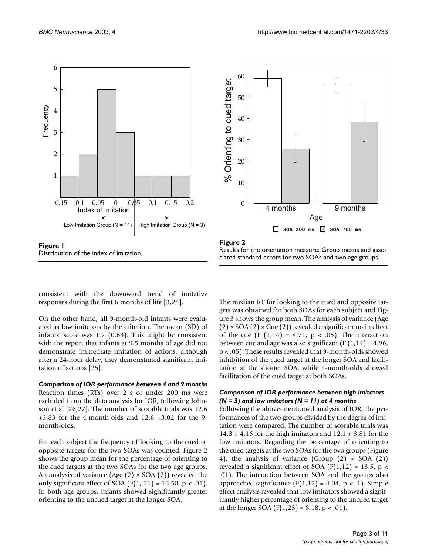



Figure 2

Results for the orientation measure: Group means and associated standard errors for two SOAs and two age groups.

consistent with the downward trend of imitative responses during the first 6 months of life [3,24].

On the other hand, all 9-month-old infants were evaluated as low imitators by the criterion. The mean (SD) of infants' score was 1.2 (0.63). This might be consistent with the report that infants at 9.5 months of age did not demonstrate immediate imitation of actions, although after a 24-hour delay, they demonstrated significant imitation of actions [25].

*Comparison of IOR performance between 4 and 9 months* Reaction times (RTs) over 2 s or under 200 ms were excluded from the data analysis for IOR, following Johnson et al [26,27]. The number of scorable trials was 12.6  $\pm 3.83$  for the 4-month-olds and 12.6  $\pm 3.02$  for the 9month-olds.

For each subject the frequency of looking to the cued or opposite targets for the two SOAs was counted. Figure 2 shows the group mean for the percentage of orienting to the cued targets at the two SOAs for the two age groups. An analysis of variance (Age  $(2) \times$  SOA  $(2)$ ) revealed the only significant effect of SOA ( $F(1, 21) = 16.50$ ,  $p < .01$ ). In both age groups, infants showed significantly greater orienting to the uncued target at the longer SOA.

The median RT for looking to the cued and opposite targets was obtained for both SOAs for each subject and Figure [3](#page-3-0) shows the group mean. The analysis of variance (Age  $(2) \times$  SOA  $(2) \times$  Cue  $(2)$ ) revealed a significant main effect of the cue (F  $(1,14) = 4.71$ , p < .05). The interaction between cue and age was also significant ( $F(1,14) = 4.96$ , p < .05). These results revealed that 9-month-olds showed inhibition of the cued target at the longer SOA and facilitation at the shorter SOA, while 4-month-olds showed facilitation of the cued target at both SOAs.

### *Comparison of IOR performance between high imitators (N = 3) and low imitators (N = 11) at 4 months*

Following the above-mentioned analysis of IOR, the performances of the two groups divided by the degree of imitation were compared. The number of scorable trials was  $14.3 \pm 4.16$  for the high imitators and  $12.1 \pm 3.81$  for the low imitators. Regarding the percentage of orienting to the cued targets at the two SOAs for the two groups (Figure 4), the analysis of variance (Group  $(2) \times SOA$   $(2)$ ) revealed a significant effect of SOA (F(1,12) = 13.5,  $p$  < .01). The interaction between SOA and the groups also approached significance  $(F(1,12) = 4.04, p < .1)$ . Simple effect analysis revealed that low imitators showed a significantly higher percentage of orienting to the uncued target at the longer SOA  $(F(1,23) = 8.18, p < .01)$ .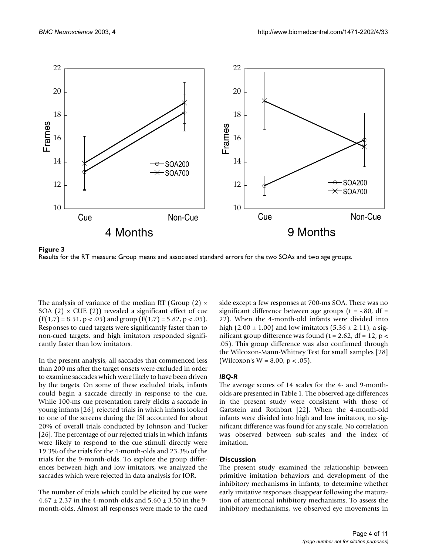<span id="page-3-0"></span>

Results for the RT measure: Group means and associated standard errors for the two SOAs and two age groups.

The analysis of variance of the median RT (Group  $(2) \times$ SOA (2)  $\times$  CUE (2)) revealed a significant effect of cue  $(F(1,7) = 8.51, p < .05)$  and group  $(F(1,7) = 5.82, p < .05)$ . Responses to cued targets were significantly faster than to non-cued targets, and high imitators responded significantly faster than low imitators.

In the present analysis, all saccades that commenced less than 200 ms after the target onsets were excluded in order to examine saccades which were likely to have been driven by the targets. On some of these excluded trials, infants could begin a saccade directly in response to the cue. While 100-ms cue presentation rarely elicits a saccade in young infants [26], rejected trials in which infants looked to one of the screens during the ISI accounted for about 20% of overall trials conducted by Johnson and Tucker [26]. The percentage of our rejected trials in which infants were likely to respond to the cue stimuli directly were 19.3% of the trials for the 4-month-olds and 23.3% of the trials for the 9-month-olds. To explore the group differences between high and low imitators, we analyzed the saccades which were rejected in data analysis for IOR.

The number of trials which could be elicited by cue were  $4.67 \pm 2.37$  in the 4-month-olds and  $5.60 \pm 3.50$  in the 9month-olds. Almost all responses were made to the cued side except a few responses at 700-ms SOA. There was no significant difference between age groups ( $t = -0.80$ , df = 22). When the 4-month-old infants were divided into high (2.00  $\pm$  1.00) and low imitators (5.36  $\pm$  2.11), a significant group difference was found ( $t = 2.62$ , df = 12,  $p$  < .05). This group difference was also confirmed through the Wilcoxon-Mann-Whitney Test for small samples [28] (Wilcoxon's W = 8.00,  $p < .05$ ).

### *IBQ-R*

The average scores of 14 scales for the 4- and 9-montholds are presented in Table 1. The observed age differences in the present study were consistent with those of Gartstein and Rothbart [22]. When the 4-month-old infants were divided into high and low imitators, no significant difference was found for any scale. No correlation was observed between sub-scales and the index of imitation.

### **Discussion**

The present study examined the relationship between primitive imitation behaviors and development of the inhibitory mechanisms in infants, to determine whether early imitative responses disappear following the maturation of attentional inhibitory mechanisms. To assess the inhibitory mechanisms, we observed eye movements in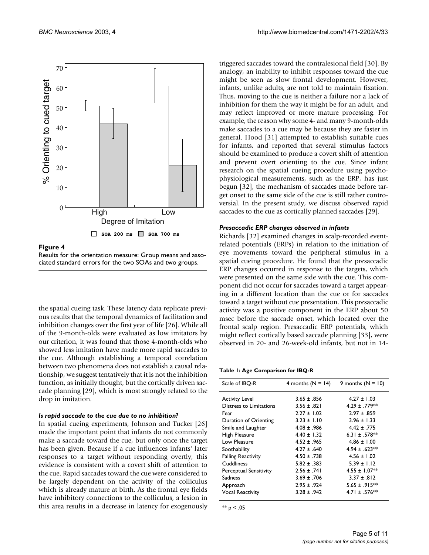

Figure 4 Results for the orientation measure: Group means and associated standard errors for the two SOAs and two groups.

the spatial cueing task. These latency data replicate previous results that the temporal dynamics of facilitation and inhibition changes over the first year of life [26]. While all of the 9-month-olds were evaluated as low imitators by our criterion, it was found that those 4-month-olds who showed less imitation have made more rapid saccades to the cue. Although establishing a temporal correlation between two phenomena does not establish a causal relationship, we suggest tentatively that it is not the inhibition function, as initially thought, but the cortically driven saccade planning [29], which is most strongly related to the drop in imitation.

#### *Is rapid saccade to the cue due to no inhibition?*

In spatial cueing experiments, Johnson and Tucker [26] made the important point that infants do not commonly make a saccade toward the cue, but only once the target has been given. Because if a cue influences infants' later responses to a target without responding overtly, this evidence is consistent with a covert shift of attention to the cue. Rapid saccades toward the cue were considered to be largely dependent on the activity of the colliculus which is already mature at birth. As the frontal eye fields have inhibitory connections to the colliculus, a lesion in this area results in a decrease in latency for exogenously triggered saccades toward the contralesional field [30]. By analogy, an inability to inhibit responses toward the cue might be seen as slow frontal development. However, infants, unlike adults, are not told to maintain fixation. Thus, moving to the cue is neither a failure nor a lack of inhibition for them the way it might be for an adult, and may reflect improved or more mature processing. For example, the reason why some 4- and many 9-month-olds make saccades to a cue may be because they are faster in general. Hood [31] attempted to establish suitable cues for infants, and reported that several stimulus factors should be examined to produce a covert shift of attention and prevent overt orienting to the cue. Since infant research on the spatial cueing procedure using psychophysiological measurements, such as the ERP, has just begun [32], the mechanism of saccades made before target onset to the same side of the cue is still rather controversial. In the present study, we discuss observed rapid saccades to the cue as cortically planned saccades [29].

#### *Presaccadic ERP changes observed in infants*

Richards [32] examined changes in scalp-recorded eventrelated potentials (ERPs) in relation to the initiation of eye movements toward the peripheral stimulus in a spatial cueing procedure. He found that the presaccadic ERP changes occurred in response to the targets, which were presented on the same side with the cue. This component did not occur for saccades toward a target appearing in a different location than the cue or for saccades toward a target without cue presentation. This presaccadic activity was a positive component in the ERP about 50 msec before the saccade onset, which located over the frontal scalp region. Presaccadic ERP potentials, which might reflect cortically based saccade planning [33], were observed in 20- and 26-week-old infants, but not in 14-

**Table 1: Age Comparison for IBQ-R**

| Scale of IBQ-R                | 4 months ( $N = 14$ ) | 9 months $(N = 10)$       |
|-------------------------------|-----------------------|---------------------------|
| <b>Activity Level</b>         | $3.65 \pm .856$       | $4.27 \pm 1.03$           |
| Distress to Limitations       | $3.56 \pm .821$       | $4.29 \pm .779**$         |
| Fear                          | $2.27 \pm 1.02$       | $2.97 \pm .859$           |
| Duration of Orienting         | $3.23 \pm 1.10$       | $3.96 \pm 1.33$           |
| Smile and Laughter            | $4.08 \pm .986$       | $4.42 \pm .775$           |
| High Pleasure                 | $4.40 \pm 1.32$       | 6.31 ± .578 <sup>**</sup> |
| Low Pleasure                  | $4.52 \pm .965$       | $4.86 \pm 1.00$           |
| Soothability                  | $4.27 \pm .640$       | $4.94 \pm .623**$         |
| <b>Falling Reactivity</b>     | $4.50 \pm .738$       | $4.56 \pm 1.02$           |
| Cuddliness                    | $5.82 \pm .383$       | $5.39 \pm 1.12$           |
| <b>Perceptual Sensitivity</b> | $2.56 \pm .741$       | $4.55 \pm 1.07**$         |
| Sadness                       | $3.69 \pm .706$       | $3.37 \pm .812$           |
| Approach                      | $2.95 \pm .924$       | $5.65 \pm .915**$         |
| <b>Vocal Reactivity</b>       | $3.28 \pm .942$       | 4.71 ± .576 <sup>**</sup> |

\*\*  $p < .05$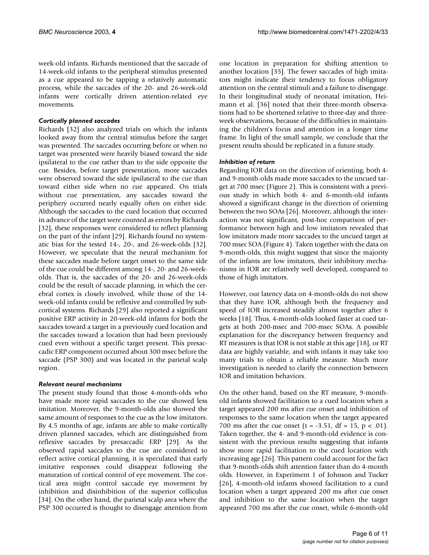week-old infants. Richards mentioned that the saccade of 14-week-old infants to the peripheral stimulus presented as a cue appeared to be tapping a relatively automatic process, while the saccades of the 20- and 26-week-old infants were cortically driven attention-related eye movements.

### *Cortically planned saccades*

Richards [32] also analyzed trials on which the infants looked away from the central stimulus before the target was presented. The saccades occurring before or when no target was presented were heavily biased toward the side ipsilateral to the cue rather than to the side opposite the cue. Besides, before target presentation, more saccades were observed toward the side ipsilateral to the cue than toward either side when no cue appeared. On trials without cue presentation, any saccades toward the periphery occurred nearly equally often on either side. Although the saccades to the cued location that occurred in advance of the target were counted as errors by Richards [32], these responses were considered to reflect planning on the part of the infant [29]. Richards found no systematic bias for the tested 14-, 20-, and 26-week-olds [32]. However, we speculate that the neural mechanism for these saccades made before target onset to the same side of the cue could be different among 14-, 20- and 26-weekolds. That is, the saccades of the 20- and 26-week-olds could be the result of saccade planning, in which the cerebral cortex is closely involved, while those of the 14 week-old infants could be reflexive and controlled by subcortical systems. Richards [29] also reported a significant positive ERP activity in 20-week-old infants for both the saccades toward a target in a previously cued location and the saccades toward a location that had been previously cued even without a specific target present. This presaccadic ERP component occurred about 300 msec before the saccade (PSP 300) and was located in the parietal scalp region.

### *Relevant neural mechanisms*

The present study found that those 4-month-olds who have made more rapid saccades to the cue showed less imitation. Moreover, the 9-month-olds also showed the same amount of responses to the cue as the low imitators. By 4.5 months of age, infants are able to make cortically driven planned saccades, which are distinguished from reflexive saccades by presaccadic ERP [29]. As the observed rapid saccades to the cue are considered to reflect active cortical planning, it is speculated that early imitative responses could disappear following the maturation of cortical control of eye movement. The cortical area might control saccade eye movement by inhibition and disinhibition of the superior colliculus [34]. On the other hand, the parietal scalp area where the PSP 300 occurred is thought to disengage attention from

one location in preparation for shifting attention to another location [35]. The fewer saccades of high imitators might indicate their tendency to focus obligatory attention on the central stimuli and a failure to disengage. In their longitudinal study of neonatal imitation, Heimann et al. [36] noted that their three-month observations had to be shortened relative to three-day and threeweek observations, because of the difficulties in maintaining the children's focus and attention in a longer time frame. In light of the small sample, we conclude that the present results should be replicated in a future study.

### *Inhibition of return*

Regarding IOR data on the direction of orienting, both 4 and 9-month-olds made more saccades to the uncued target at 700 msec (Figure 2). This is consistent with a previous study in which both 4- and 6-month-old infants showed a significant change in the direction of orienting between the two SOAs [26]. Moreover, although the interaction was not significant, post-hoc comparison of performance between high and low imitators revealed that low imitators made more saccades to the uncued target at 700 msec SOA (Figure 4). Taken together with the data on 9-month-olds, this might suggest that since the majority of the infants are low imitators, their inhibitory mechanisms in IOR are relatively well developed, compared to those of high imitators.

However, our latency data on 4-month-olds do not show that they have IOR, although both the frequency and speed of IOR increased steadily almost together after 6 weeks [18]. Thus, 4-month-olds looked faster at cued targets at both 200-msec and 700-msec SOAs. A possible explanation for the discrepancy between frequency and RT measures is that IOR is not stable at this age [18], or RT data are highly variable, and with infants it may take too many trials to obtain a reliable measure. Much more investigation is needed to clarify the connection between IOR and imitation behaviors.

On the other hand, based on the RT measure, 9-monthold infants showed facilitation to a cued location when a target appeared 200 ms after cue onset and inhibition of responses to the same location when the target appeared 700 ms after the cue onset (t =  $-3.51$ , df = 15, p < .01). Taken together, the 4- and 9-month-old evidence is consistent with the previous results suggesting that infants show more rapid facilitation to the cued location with increasing age [26]. This pattern could account for the fact that 9-month-olds shift attention faster than do 4-month olds. However, in Experiment 1 of Johnson and Tucker [26], 4-month-old infants showed facilitation to a cued location when a target appeared 200 ms after cue onset and inhibition to the same location when the target appeared 700 ms after the cue onset, while 6-month-old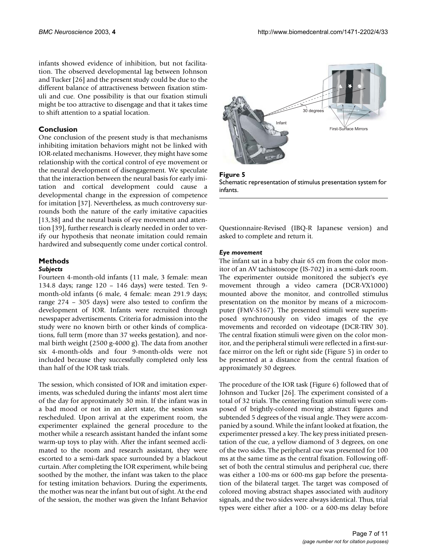infants showed evidence of inhibition, but not facilitation. The observed developmental lag between Johnson and Tucker [26] and the present study could be due to the different balance of attractiveness between fixation stimuli and cue. One possibility is that our fixation stimuli might be too attractive to disengage and that it takes time to shift attention to a spatial location.

### **Conclusion**

One conclusion of the present study is that mechanisms inhibiting imitation behaviors might not be linked with IOR-related mechanisms. However, they might have some relationship with the cortical control of eye movement or the neural development of disengagement. We speculate that the interaction between the neural basis for early imitation and cortical development could cause a developmental change in the expression of competence for imitation [37]. Nevertheless, as much controversy surrounds both the nature of the early imitative capacities [13,38] and the neural basis of eye movement and attention [39], further research is clearly needed in order to verify our hypothesis that neonate imitation could remain hardwired and subsequently come under cortical control.

## **Methods**

## *Subjects*

Fourteen 4-month-old infants (11 male, 3 female: mean 134.8 days; range 120 – 146 days) were tested. Ten 9 month-old infants (6 male, 4 female: mean 291.9 days; range 274 – 305 days) were also tested to confirm the development of IOR. Infants were recruited through newspaper advertisements. Criteria for admission into the study were no known birth or other kinds of complications, full term (more than 37 weeks gestation), and normal birth weight (2500 g-4000 g). The data from another six 4-month-olds and four 9-month-olds were not included because they successfully completed only less than half of the IOR task trials.

The session, which consisted of IOR and imitation experiments, was scheduled during the infants' most alert time of the day for approximately 30 min. If the infant was in a bad mood or not in an alert state, the session was rescheduled. Upon arrival at the experiment room, the experimenter explained the general procedure to the mother while a research assistant handed the infant some warm-up toys to play with. After the infant seemed acclimated to the room and research assistant, they were escorted to a semi-dark space surrounded by a blackout curtain. After completing the IOR experiment, while being soothed by the mother, the infant was taken to the place for testing imitation behaviors. During the experiments, the mother was near the infant but out of sight. At the end of the session, the mother was given the Infant Behavior



**Figure 5** Schematic representation of stimulus presentation system for infants.

Questionnaire-Revised (IBQ-R Japanese version) and asked to complete and return it.

### *Eye movement*

The infant sat in a baby chair 65 cm from the color monitor of an AV tachistoscope (IS-702) in a semi-dark room. The experimenter outside monitored the subject's eye movement through a video camera (DCR-VX1000) mounted above the monitor, and controlled stimulus presentation on the monitor by means of a microcomputer (FMV-S167). The presented stimuli were superimposed synchronously on video images of the eye movements and recorded on videotape (DCR-TRV 30). The central fixation stimuli were given on the color monitor, and the peripheral stimuli were reflected in a first-surface mirror on the left or right side (Figure 5) in order to be presented at a distance from the central fixation of approximately 30 degrees.

The procedure of the IOR task (Figure 6) followed that of Johnson and Tucker [26]. The experiment consisted of a total of 32 trials. The centering fixation stimuli were composed of brightly-colored moving abstract figures and subtended 5 degrees of the visual angle. They were accompanied by a sound. While the infant looked at fixation, the experimenter pressed a key. The key press initiated presentation of the cue, a yellow diamond of 3 degrees, on one of the two sides. The peripheral cue was presented for 100 ms at the same time as the central fixation. Following offset of both the central stimulus and peripheral cue, there was either a 100-ms or 600-ms gap before the presentation of the bilateral target. The target was composed of colored moving abstract shapes associated with auditory signals, and the two sides were always identical. Thus, trial types were either after a 100- or a 600-ms delay before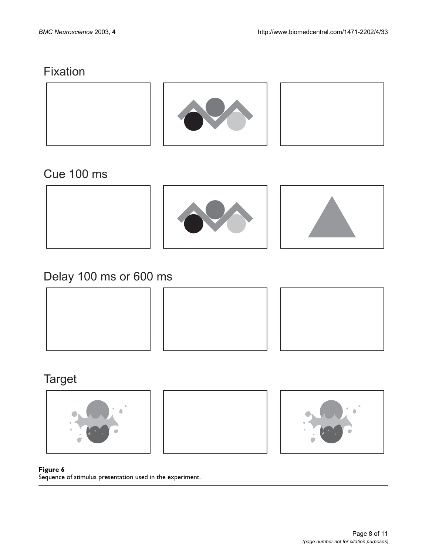# Fixation



# Cue 100 ms



# Delay 100 ms or 600 ms







# **Target**







### Figure 6

Sequence of stimulus presentation used in the experiment.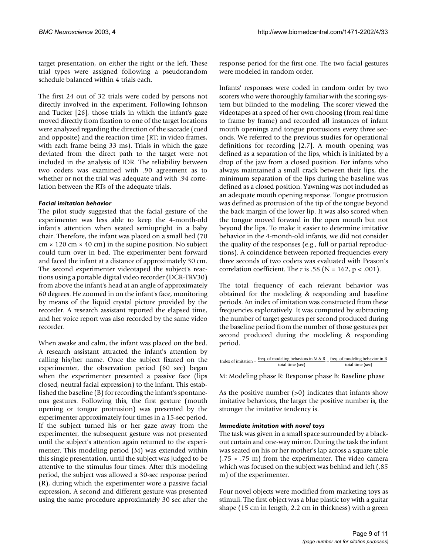target presentation, on either the right or the left. These trial types were assigned following a pseudorandom schedule balanced within 4 trials each.

The first 24 out of 32 trials were coded by persons not directly involved in the experiment. Following Johnson and Tucker [26], those trials in which the infant's gaze moved directly from fixation to one of the target locations were analyzed regarding the direction of the saccade (cued and opposite) and the reaction time (RT; in video frames, with each frame being 33 ms). Trials in which the gaze deviated from the direct path to the target were not included in the analysis of IOR. The reliability between two coders was examined with .90 agreement as to whether or not the trial was adequate and with .94 correlation between the RTs of the adequate trials.

### *Facial imitation behavior*

The pilot study suggested that the facial gesture of the experimenter was less able to keep the 4-month-old infant's attention when seated semiupright in a baby chair. Therefore, the infant was placed on a small bed (70  $cm \times 120$  cm  $\times$  40 cm) in the supine position. No subject could turn over in bed. The experimenter bent forward and faced the infant at a distance of approximately 30 cm. The second experimenter videotaped the subject's reactions using a portable digital video recorder (DCR-TRV30) from above the infant's head at an angle of approximately 60 degrees. He zoomed in on the infant's face, monitoring by means of the liquid crystal picture provided by the recorder. A research assistant reported the elapsed time, and her voice report was also recorded by the same video recorder.

When awake and calm, the infant was placed on the bed. A research assistant attracted the infant's attention by calling his/her name. Once the subject fixated on the experimenter, the observation period (60 sec) began when the experimenter presented a passive face (lips closed, neutral facial expression) to the infant. This established the baseline (B) for recording the infant's spontaneous gestures. Following this, the first gesture (mouth opening or tongue protrusion) was presented by the experimenter approximately four times in a 15-sec period. If the subject turned his or her gaze away from the experimenter, the subsequent gesture was not presented until the subject's attention again returned to the experimenter. This modeling period (M) was extended within this single presentation, until the subject was judged to be attentive to the stimulus four times. After this modeling period, the subject was allowed a 30-sec response period (R), during which the experimenter wore a passive facial expression. A second and different gesture was presented using the same procedure approximately 30 sec after the response period for the first one. The two facial gestures were modeled in random order.

Infants' responses were coded in random order by two scorers who were thoroughly familiar with the scoring system but blinded to the modeling. The scorer viewed the videotapes at a speed of her own choosing (from real time to frame by frame) and recorded all instances of infant mouth openings and tongue protrusions every three seconds. We referred to the previous studies for operational definitions for recording [2,7]. A mouth opening was defined as a separation of the lips, which is initiated by a drop of the jaw from a closed position. For infants who always maintained a small crack between their lips, the minimum separation of the lips during the baseline was defined as a closed position. Yawning was not included as an adequate mouth opening response. Tongue protrusion was defined as protrusion of the tip of the tongue beyond the back margin of the lower lip. It was also scored when the tongue moved forward in the open mouth but not beyond the lips. To make it easier to determine imitative behavior in the 4-month-old infants, we did not consider the quality of the responses (e.g., full or partial reproductions). A coincidence between reported frequencies every three seconds of two coders was evaluated with Peason's correlation coefficient. The *r* is .58 ( $N = 162$ ,  $p < .001$ ).

The total frequency of each relevant behavior was obtained for the modeling & responding and baseline periods. An index of imitation was constructed from these frequencies exploratively. It was computed by subtracting the number of target gestures per second produced during the baseline period from the number of those gestures per second produced during the modeling & responding period.

| Index of imitation $=\frac{1}{x}$ | freq. of modeling behaviors in M & R | freq. of modeling behavior in B |
|-----------------------------------|--------------------------------------|---------------------------------|
|                                   | total time (sec)                     | total time (sec)                |

M: Modeling phase R: Response phase B: Baseline phase

As the positive number (>0) indicates that infants show imitative behaviors, the larger the positive number is, the stronger the imitative tendency is.

### *Immediate imitation with novel toys*

The task was given in a small space surrounded by a blackout curtain and one-way mirror. During the task the infant was seated on his or her mother's lap across a square table  $(.75 \times .75 \text{ m})$  from the experimenter. The video camera which was focused on the subject was behind and left (.85 m) of the experimenter.

Four novel objects were modified from marketing toys as stimuli. The first object was a blue plastic toy with a guitar shape (15 cm in length, 2.2 cm in thickness) with a green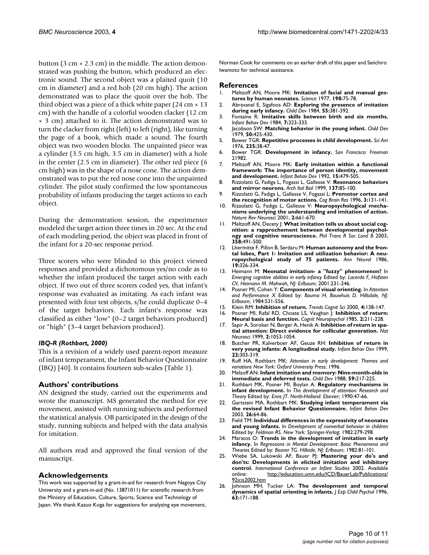button ( $3 \text{ cm} \times 2.3 \text{ cm}$ ) in the middle. The action demonstrated was pushing the button, which produced an electronic sound. The second object was a plaited quoit (10 cm in diameter) and a red hob (20 cm high). The action demonstrated was to place the quoit over the hob. The third object was a piece of a thick white paper (24 cm  $\times$  13 cm) with the handle of a colorful wooden clacker (12 cm × 3 cm) attached to it. The action demonstrated was to turn the clacker from right (left) to left (right), like turning the page of a book, which made a sound. The fourth object was two wooden blocks. The unpainted piece was a cylinder (3.5 cm high, 3.5 cm in diameter) with a hole in the center (2.5 cm in diameter). The other red piece (6 cm high) was in the shape of a nose cone. The action demonstrated was to put the red nose cone into the unpainted cylinder. The pilot study confirmed the low spontaneous probability of infants producing the target actions to each object.

During the demonstration session, the experimenter modeled the target action three times in 20 sec. At the end of each modeling period, the object was placed in front of the infant for a 20-sec response period.

Three scorers who were blinded to this project viewed responses and provided a dichotomous yes/no code as to whether the infant produced the target action with each object. If two out of three scorers coded yes, that infant's response was evaluated as imitating. As each infant was presented with four test objects, s/he could duplicate 0–4 of the target behaviors. Each infant's response was classified as either "low" (0–2 target behaviors produced) or "high" (3–4 target behaviors produced).

### *IBQ-R (Rothbart, 2000)*

This is a revision of a widely used parent-report measure of infant temperament, the Infant Behavior Questionnaire (IBQ) [40]. It contains fourteen sub-scales (Table 1).

### **Authors' contributions**

AN designed the study, carried out the experiments and wrote the manuscript. MS generated the method for eye movement, assisted with running subjects and performed the statistical analysis. OB participated in the design of the study, running subjects and helped with the data analysis for imitation.

All authors read and approved the final version of the manuscript.

### **Acknowledgements**

This work was supported by a grant-in-aid for research from Nagoya City University and a grant-in-aid (No. 13871011) for scientific research from the Ministry of Education, Culture, Sports, Science and Technology of Japan. We thank Kazuo Koga for suggestions for analyzing eye movement, Norman Cook for comments on an earlier draft of this paper and Seiichiro Iwamoto for technical assistance.

### **References**

- 1. Meltzoff AN, Moore MK: **Imitation of facial and manual gestures by human neonates.** *Science* 1977, **198:**75-78.
- 2. Abravanel E, Sigafoos AD: **[Exploring the presence of imitation](http://www.ncbi.nlm.nih.gov/entrez/query.fcgi?cmd=Retrieve&db=PubMed&dopt=Abstract&list_uids=6723442) [during early infancy.](http://www.ncbi.nlm.nih.gov/entrez/query.fcgi?cmd=Retrieve&db=PubMed&dopt=Abstract&list_uids=6723442)** *Child Dev* 1984, **55:**381-392.
- 3. Fontaine R: **Imitative skills between birth and six months.** *Infant Behav Dev* 1984, **7:**323-333.
- 4. Jacobson SW: **[Matching behavior in the young infant.](http://www.ncbi.nlm.nih.gov/entrez/query.fcgi?cmd=Retrieve&db=PubMed&dopt=Abstract&list_uids=487882)** *Child Dev* 1979, **50:**425-430.
- 5. Bower TGR: **[Repetitive processes in child development.](http://www.ncbi.nlm.nih.gov/entrez/query.fcgi?cmd=Retrieve&db=PubMed&dopt=Abstract&list_uids=982020)** *Sci Am* 1976, **235:**38-47.
- 6. Bower TGR: **Development in infancy.** *San Francisco: Freeman* 21982.
- 7. Meltzoff AN, Moore MK: **Early imitation within a functional framework: The importance of person identity, movement and development.** *Infant Behav Dev* 1992, **15:**479-505.
- 8. Rizzolatti G, Fadiga L, Fogassi L, Gallesse V: **[Resonance behaviors](http://www.ncbi.nlm.nih.gov/entrez/query.fcgi?cmd=Retrieve&db=PubMed&dopt=Abstract&list_uids=10349488) [and mirror neurons.](http://www.ncbi.nlm.nih.gov/entrez/query.fcgi?cmd=Retrieve&db=PubMed&dopt=Abstract&list_uids=10349488)** *Arch Ital Biol* 1999, **137:**85-100.
- 9. Rizzolatti G, Fadiga L, Gallesse V, Fogassi L: **[Premotor cortex and](http://www.ncbi.nlm.nih.gov/entrez/query.fcgi?cmd=Retrieve&db=PubMed&dopt=Abstract&list_uids=10.1016/0926-6410(95)00038-0) [the recognition of motor actions.](http://www.ncbi.nlm.nih.gov/entrez/query.fcgi?cmd=Retrieve&db=PubMed&dopt=Abstract&list_uids=10.1016/0926-6410(95)00038-0)** *Cog Brain Res* 1996, **3:**131-141.
- 10. Rizzolatti G, Fadiga L, Gallesse V: **[Neuropsychological mecha](http://www.ncbi.nlm.nih.gov/entrez/query.fcgi?cmd=Retrieve&db=PubMed&dopt=Abstract&list_uids=10.1038/35090060)[nisms underlying the understanding and imitation of action.](http://www.ncbi.nlm.nih.gov/entrez/query.fcgi?cmd=Retrieve&db=PubMed&dopt=Abstract&list_uids=10.1038/35090060)** *Nature Rev Neurosci* 2001, **2:**661-670.
- 11. Meltzoff AN, Decety J: [What imitation tells us about social cog](http://www.ncbi.nlm.nih.gov/entrez/query.fcgi?cmd=Retrieve&db=PubMed&dopt=Abstract&list_uids=10.1098/rstb.2002.1261)**[nition: a rapprochement between developmental psychol](http://www.ncbi.nlm.nih.gov/entrez/query.fcgi?cmd=Retrieve&db=PubMed&dopt=Abstract&list_uids=10.1098/rstb.2002.1261)[ogy and cognitive neuroscience.](http://www.ncbi.nlm.nih.gov/entrez/query.fcgi?cmd=Retrieve&db=PubMed&dopt=Abstract&list_uids=10.1098/rstb.2002.1261)** *Phil Trans R Soc Lond B* 2003, **358:**491-500.
- 12. Lhermitte F, Pillon B, Serdaru M: **[Human autonomy and the fron](http://www.ncbi.nlm.nih.gov/entrez/query.fcgi?cmd=Retrieve&db=PubMed&dopt=Abstract&list_uids=3707084)[tal lobes, Part 1: Imitation and utilization behavior: A neu](http://www.ncbi.nlm.nih.gov/entrez/query.fcgi?cmd=Retrieve&db=PubMed&dopt=Abstract&list_uids=3707084)[ropsychological study of 75 patients.](http://www.ncbi.nlm.nih.gov/entrez/query.fcgi?cmd=Retrieve&db=PubMed&dopt=Abstract&list_uids=3707084)** *Ann Neurol* 1986, **19:**326-334.
- 13. Heimann M: **Neonatal imitation- a "fuzzy" phenomenon?** In *Emerging cognitive abilities in early infancy* Edited by: *Lacerda F, Hofsten CV, Heimann M*. *Mahwah, NJ: Erlbaum*; 2001:231-246.
- 14. Posner MI, Cohen Y: **Components of visual orienting.** In *Attention and Performance X* Edited by: *Bouma H, Bouwhuis D*. *Hillsdale, NJ: Erlbaum*; 1984:531-556.
- 15. Klein RM: **[Inhibition of return.](http://www.ncbi.nlm.nih.gov/entrez/query.fcgi?cmd=Retrieve&db=PubMed&dopt=Abstract&list_uids=10.1016/S1364-6613(00)01452-2)** *Trends Cognit Sci* 2000, **4:**138-147.
- 16. Posner MI, Rafal RD, Choate LS, Vaughan J: **Inhibition of return: Neural basis and function.** *Cognit Neuropsychol* 1985, **2:**211-228.
- 17. Sapir A, Soroker N, Berger A, Henik A: **[Inhibition of return in spa](http://www.ncbi.nlm.nih.gov/entrez/query.fcgi?cmd=Retrieve&db=PubMed&dopt=Abstract&list_uids=10.1038/15977)[tial attention: Direct evidence for collicular generation](http://www.ncbi.nlm.nih.gov/entrez/query.fcgi?cmd=Retrieve&db=PubMed&dopt=Abstract&list_uids=10.1038/15977)[.](http://www.ncbi.nlm.nih.gov/entrez/query.fcgi?cmd=Retrieve&db=PubMed&dopt=Abstract&list_uids=10570480)** *Nat Neurosci* 1999, **2:**1053-1054.
- 18. Butcher PR, Kalverboer AF, Geuze RH: **[Inhibition of return in](http://www.ncbi.nlm.nih.gov/entrez/query.fcgi?cmd=Retrieve&db=PubMed&dopt=Abstract&list_uids=10.1016/S0163-6383(99)00013-2) [very young infants: A longitudinal study.](http://www.ncbi.nlm.nih.gov/entrez/query.fcgi?cmd=Retrieve&db=PubMed&dopt=Abstract&list_uids=10.1016/S0163-6383(99)00013-2)** *Infant Behav Dev* 1999, **22:**303-319.
- 19. Ruff HA, Rothbart MK: *Attention in early development: Themes and variations New York: Oxford University Press*; 1996.
- 20. Melzoff AN: **[Infant imitation and memory: Nine-month-olds in](http://www.ncbi.nlm.nih.gov/entrez/query.fcgi?cmd=Retrieve&db=PubMed&dopt=Abstract&list_uids=3342714) [immediate and deferred tests.](http://www.ncbi.nlm.nih.gov/entrez/query.fcgi?cmd=Retrieve&db=PubMed&dopt=Abstract&list_uids=3342714)** *Child Dev* 1988, **59:**217-225.
- 21. Rothbart MK, Posner MI, Boylan A: **Regulatory mechanisms in infant development.** In *The development of attention: Research and Theory* Edited by: *Enns JT*. *North-Holland: Elsevier*; 1990:47-66.
- 22. Gartstein MA, Rothbart MK: **[Studying infant temperament via](http://www.ncbi.nlm.nih.gov/entrez/query.fcgi?cmd=Retrieve&db=PubMed&dopt=Abstract&list_uids=10.1016/S0163-6383(02)00169-8) [the revised Infant Behavior Questionnaire.](http://www.ncbi.nlm.nih.gov/entrez/query.fcgi?cmd=Retrieve&db=PubMed&dopt=Abstract&list_uids=10.1016/S0163-6383(02)00169-8)** *Infant Behav Dev* 2003, **26:**64-86.
- 23. Field TM: **Individual differences in the expressivity of neonates and young infants.** In *Development of nonverbal behavior in children* Edited by: *Feldman RS*. *New York: Springer-Verlag*; 1982:279-298.
- 24. Maratos O: **Trends in the development of imitation in early infancy.** In *Regressions in Mental Development: Basic Phenomena and Theories* Edited by: *Beaver TG*. *Hillside, NJ: Erlbaum*; 1982:81-101.
- 25. Wiebe SA, Lukowski AF, Bauer PJ: **Mastering your do's and don'ts: Developments in elicited imitation and inhibitory control.** *International Conference on Infant Studies* 2002. Available online: [http://education.umn.edu/ICD/BauerLab/Publications/](http://education.umn.edu/ICD/BauerLab/Publications/92icis2002.htm) [92icis2002.htm](http://education.umn.edu/ICD/BauerLab/Publications/92icis2002.htm)
- 26. Johnson MH, Tucker LA: **[The development and temporal](http://www.ncbi.nlm.nih.gov/entrez/query.fcgi?cmd=Retrieve&db=PubMed&dopt=Abstract&list_uids=10.1006/jecp.1996.0046) [dynamics of spatial orienting in infants](http://www.ncbi.nlm.nih.gov/entrez/query.fcgi?cmd=Retrieve&db=PubMed&dopt=Abstract&list_uids=10.1006/jecp.1996.0046)[.](http://www.ncbi.nlm.nih.gov/entrez/query.fcgi?cmd=Retrieve&db=PubMed&dopt=Abstract&list_uids=8812042)** *J Exp Child Psychol* 1996, **63:**171-188.